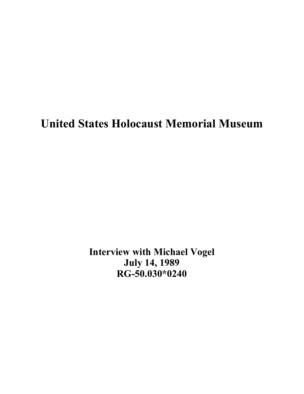# **United States Holocaust Memorial Museum**

**Interview with Michael Vogel July 14, 1989 RG-50.030\*0240**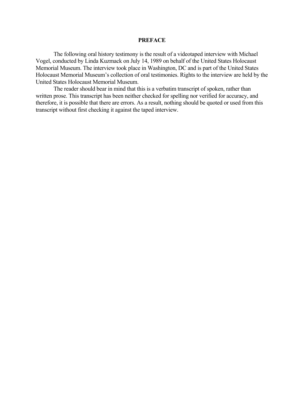## **PREFACE**

The following oral history testimony is the result of a videotaped interview with Michael Vogel, conducted by Linda Kuzmack on July 14, 1989 on behalf of the United States Holocaust Memorial Museum. The interview took place in Washington, DC and is part of the United States Holocaust Memorial Museum's collection of oral testimonies. Rights to the interview are held by the United States Holocaust Memorial Museum.

 The reader should bear in mind that this is a verbatim transcript of spoken, rather than written prose. This transcript has been neither checked for spelling nor verified for accuracy, and therefore, it is possible that there are errors. As a result, nothing should be quoted or used from this transcript without first checking it against the taped interview.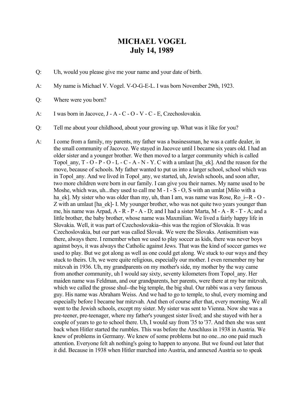## **MICHAEL VOGEL July 14, 1989**

- Q: Uh, would you please give me your name and your date of birth.
- A: My name is Michael V. Vogel. V-O-G-E-L. I was born November 29th, 1923.
- Q: Where were you born?
- A: I was born in Jacovce, J A C O V C E, Czechoslovakia.
- Q: Tell me about your childhood, about your growing up. What was it like for you?
- A: I come from a family, my parents, my father was a businessman, he was a cattle dealer, in the small community of Jacovce. We stayed in Jacovce until I became six years old. I had an older sister and a younger brother. We then moved to a larger community which is called Topol any,  $T - O - P - O - L - C - A - N - Y$ . C with a umlaut [ha\_ek]. And the reason for the move, because of schools. My father wanted to put us into a larger school, school which was in Topol any. And we lived in Topol any, we started, uh, Jewish schools, and soon after, two more children were born in our family. I can give you their names. My name used to be Moshe, which was, uh...they used to call me M - I - S - O, S with an umlat [Mišo with a ha\_ek]. My sister who was older than my, uh, than I am, was name was Rose, Ro\_i--R - O -Z with an umlaut [ha\_ek]- I. My younger brother, who was not quite two years younger than me, his name was Arpad, A - R - P - A - D; and I had a sister Marta, M - A - R - T - A; and a little brother, the baby brother, whose name was Maxmilian. We lived a fairly happy life in Slovakia. Well, it was part of Czechoslovakia--this was the region of Slovakia. It was Czechoslovakia, but our part was called Slovak. We were the Slovaks. Antisemitism was there, always there. I remember when we used to play soccer as kids, there was never boys against boys, it was always the Catholic against Jews. That was the kind of soccer games we used to play. But we got along as well as one could get along. We stuck to our ways and they stuck to theirs. Uh, we were quite religious, especially our mother. I even remember my bar mitzvah in 1936. Uh, my grandparents on my mother's side, my mother by the way came from another community, uh I would say sixty, seventy kilometers from Topol\_any. Her maiden name was Feldman, and our grandparents, her parents, were there at my bar mitzvah, which we called the grosse shul--the big temple, the big shul. Our rabbi was a very famous guy. His name was Abraham Weiss. And we had to go to temple, to shul, every morning and especially before I became bar mitzvah. And then of course after that, every morning. We all went to the Jewish schools, except my sister. My sister was sent to Vienna. Now she was a pre-teener, pre-teenager, where my father's youngest sister lived; and she stayed with her a couple of years to go to school there. Uh, I would say from '35 to '37. And then she was sent back when Hitler started the rumbles. This was before the Anschluss in 1938 in Austria. We knew of problems in Germany. We knew of some problems but no one...no one paid much attention. Everyone felt ah nothing's going to happen to anyone. But we found out later that it did. Because in 1938 when Hitler marched into Austria, and annexed Austria so to speak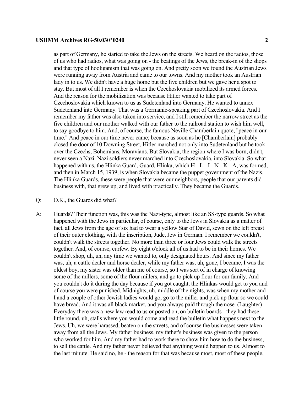as part of Germany, he started to take the Jews on the streets. We heard on the radios, those of us who had radios, what was going on - the beatings of the Jews, the break-in of the shops and that type of hooliganism that was going on. And pretty soon we found the Austrian Jews were running away from Austria and came to our towns. And my mother took an Austrian lady in to us. We didn't have a huge home but the five children but we gave her a spot to stay. But most of all I remember is when the Czechoslovakia mobilized its armed forces. And the reason for the mobilization was because Hitler wanted to take part of Czechoslovakia which known to us as Sudetenland into Germany. He wanted to annex Sudetenland into Germany. That was a Germanic-speaking part of Czechoslovakia. And I remember my father was also taken into service, and I still remember the narrow street as the five children and our mother walked with our father to the railroad station to wish him well, to say goodbye to him. And, of course, the famous Neville Chamberlain quote, "peace in our time." And peace in our time never came; because as soon as he [Chamberlain] probably closed the door of 10 Downing Street, Hitler marched not only into Sudetenland but he took over the Czechs, Bohemians, Moravians. But Slovakia, the region where I was born, didn't, never seen a Nazi. Nazi soldiers never marched into Czechoslovakia, into Slovakia. So what happened with us, the Hlinka Guard, Guard, Hlinka, which  $H - L - I - N - K - A$ , was formed, and then in March 15, 1939, is when Slovakia became the puppet government of the Nazis. The Hlinka Guards, these were people that were our neighbors, people that our parents did business with, that grew up, and lived with practically. They became the Guards.

## Q: O.K., the Guards did what?

A: Guards? Their function was, this was the Nazi-type, almost like an SS-type guards. So what happened with the Jews in particular, of course, only to the Jews in Slovakia as a matter of fact, all Jews from the age of six had to wear a yellow Star of David, sewn on the left breast of their outer clothing, with the inscription, Jude, Jew in German. I remember we couldn't, couldn't walk the streets together. No more than three or four Jews could walk the streets together. And, of course, curfew. By eight o'clock all of us had to be in their homes. We couldn't shop, uh, uh, any time we wanted to, only designated hours. And since my father was, uh, a cattle dealer and horse dealer, while my father was, uh, gone, I became, I was the oldest boy, my sister was older than me of course, so I was sort of in charge of knowing some of the millers, some of the flour millers, and go to pick up flour for our family. And you couldn't do it during the day because if you got caught, the Hlinkas would get to you and of course you were punished. Midnights, uh, middle of the nights, was when my mother and I and a couple of other Jewish ladies would go, go to the miller and pick up flour so we could have bread. And it was all black market, and you always paid through the nose. (Laughter) Everyday there was a new law read to us or posted on, on bulletin boards - they had these little round, uh, stalls where you would come and read the bulletin what happens next to the Jews. Uh, we were harassed, beaten on the streets, and of course the businesses were taken away from all the Jews. My father business, my father's business was given to the person who worked for him. And my father had to work there to show him how to do the business, to sell the cattle. And my father never believed that anything would happen to us. Almost to the last minute. He said no, he - the reason for that was because most, most of these people,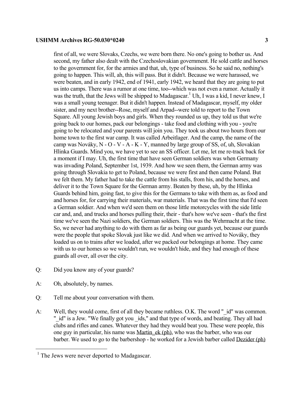first of all, we were Slovaks, Czechs, we were born there. No one's going to bother us. And second, my father also dealt with the Czechoslovakian government. He sold cattle and horses to the government for, for the armies and that, uh, type of business. So he said no, nothing's going to happen. This will, ah, this will pass. But it didn't. Because we were harassed, we were beaten, and in early 1942, end of 1941, early 1942, we heard that they are going to put us into camps. There was a rumor at one time, too--which was not even a rumor. Actually it was the truth, that the Jews will be shipped to Madagascar.<sup>1</sup> Uh, I was a kid, I never knew, I was a small young teenager. But it didn't happen. Instead of Madagascar, myself, my older sister, and my next brother--Rose, myself and Arpad--were told to report to the Town Square. All young Jewish boys and girls. When they rounded us up, they told us that we're going back to our homes, pack our belongings - take food and clothing with you - you're going to be relocated and your parents will join you. They took us about two hours from our home town to the first war camp. It was called Arbeitlager. And the camp, the name of the camp was Nováky, N - O - V - A - K - Y, manned by large group of SS, of, uh, Slovakian Hlinka Guards. Mind you, we have yet to see an SS officer. Let me, let me re-track back for a moment if I may. Uh, the first time that have seen German soldiers was when Germany was invading Poland, September 1st, 1939. And how we seen them, the German army was going through Slovakia to get to Poland, because we were first and then came Poland. But we felt them. My father had to take the cattle from his stalls, from his, and the horses, and deliver it to the Town Square for the German army. Beaten by these, uh, by the Hlinka Guards behind him, going fast, to give this for the Germans to take with them as, as food and and horses for, for carrying their materials, war materials. That was the first time that I'd seen a German soldier. And when we'd seen them on those little motorcycles with the side little car and, and, and trucks and horses pulling their, their - that's how we've seen - that's the first time we've seen the Nazi soldiers, the German soldiers. This was the Wehrmacht at the time. So, we never had anything to do with them as far as being our guards yet, because our guards were the people that spoke Slovak just like we did. And when we arrived to Nováky, they loaded us on to trains after we loaded, after we packed our belongings at home. They came with us to our homes so we wouldn't run, we wouldn't hide, and they had enough of these guards all over, all over the city.

- Q: Did you know any of your guards?
- A: Oh, absolutely, by names.

i<br>L

- Q: Tell me about your conversation with them.
- A: Well, they would come, first of all they became ruthless. O.K. The word " id" was common. " id" is a Jew. "We finally got you ids," and that type of words, and beating. They all had clubs and rifles and canes. Whatever they had they would beat you. These were people, this one guy in particular, his name was Martin\_ek (ph), who was the barber, who was our barber. We used to go to the barbershop - he worked for a Jewish barber called Dezider (ph)

<span id="page-4-0"></span><sup>&</sup>lt;sup>1</sup> The Jews were never deported to Madagascar.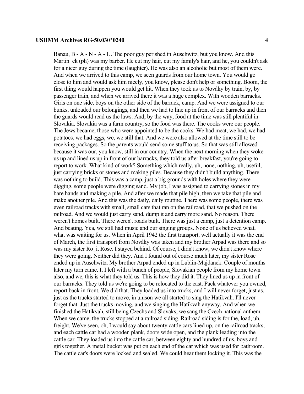Banau, B - A - N - A - U. The poor guy perished in Auschwitz, but you know. And this Martin ek (ph) was my barber. He cut my hair, cut my family's hair, and he, you couldn't ask for a nicer guy during the time (laughter). He was also an alcoholic but most of them were. And when we arrived to this camp, we seen guards from our home town. You would go close to him and would ask him nicely, you know, please don't help or something. Boom, the first thing would happen you would get hit. When they took us to Nováky by train, by, by passenger train, and when we arrived there it was a huge complex. With wooden barracks. Girls on one side, boys on the other side of the barrack, camp. And we were assigned to our bunks, unloaded our belongings, and then we had to line up in front of our barracks and then the guards would read us the laws. And, by the way, food at the time was still plentiful in Slovakia. Slovakia was a farm country, so the food was there. The cooks were our people. The Jews became, those who were appointed to be the cooks. We had meat, we had, we had potatoes, we had eggs, we, we still that. And we were also allowed at the time still to be receiving packages. So the parents would send some stuff to us. So that was still allowed because it was our, you know, still in our country. When the next morning when they woke us up and lined us up in front of our barracks, they told us after breakfast, you're going to report to work. What kind of work? Something which really, uh, none, nothing, uh, useful, just carrying bricks or stones and making piles. Because they didn't build anything. There was nothing to build. This was a camp, just a big grounds with holes where they were digging, some people were digging sand. My job, I was assigned to carrying stones in my bare hands and making a pile. And after we made that pile high, then we take that pile and make another pile. And this was the daily, daily routine. There was some people, there was even railroad tracks with small, small cars that ran on the railroad, that we pushed on the railroad. And we would just carry sand, dump it and carry more sand. No reason. There weren't homes built. There weren't roads built. There was just a camp, just a detention camp. And beating. Yea, we still had music and our singing groups. None of us believed what, what was waiting for us. When in April 1942 the first transport, well actually it was the end of March, the first transport from Nováky was taken and my brother Arpad was there and so was my sister Ro i, Rose. I stayed behind. Of course, I didn't know, we didn't know where they were going. Neither did they. And I found out of course much later, my sister Rose ended up in Auschwitz. My brother Arpad ended up in Lublin-Majdanek. Couple of months later my turn came. I, I left with a bunch of people, Slovakian people from my home town also, and we, this is what they told us. This is how they did it. They lined us up in front of our barracks. They told us we're going to be relocated to the east. Pack whatever you owned, report back in front. We did that. They loaded us into trucks, and I will never forget, just as, just as the trucks started to move, in unison we all started to sing the Hatikvah. I'll never forget that. Just the trucks moving, and we singing the Hatikvah anyway. And when we finished the Hatikvah, still being Czechs and Slovaks, we sang the Czech national anthem. When we came, the trucks stopped at a railroad siding. Railroad siding is for the, load, uh, freight. We've seen, oh, I would say about twenty cattle cars lined up, on the railroad tracks, and each cattle car had a wooden plank, doors wide open, and the plank leading into the cattle car. They loaded us into the cattle car, between eighty and hundred of us, boys and girls together. A metal bucket was put on each end of the car which was used for bathroom. The cattle car's doors were locked and sealed. We could hear them locking it. This was the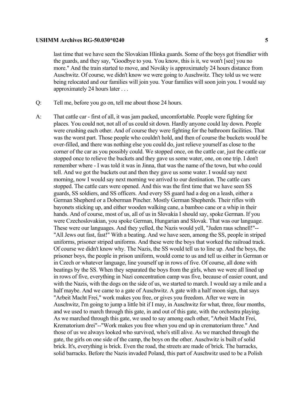last time that we have seen the Slovakian Hlinka guards. Some of the boys got friendlier with the guards, and they say, "Goodbye to you. You know, this is it, we won't [see] you no more." And the train started to move, and Nováky is approximately 24 hours distance from Auschwitz. Of course, we didn't know we were going to Auschwitz. They told us we were being relocated and our families will join you. Your families will soon join you. I would say approximately 24 hours later . . .

- Q: Tell me, before you go on, tell me about those 24 hours.
- A: That cattle car first of all, it was jam packed, uncomfortable. People were fighting for places. You could not, not all of us could sit down. Hardly anyone could lay down. People were crushing each other. And of course they were fighting for the bathroom facilities. That was the worst part. Those people who couldn't hold, and then of course the buckets would be over-filled, and there was nothing else you could do, just relieve yourself as close to the corner of the car as you possibly could. We stopped once, on the cattle car, just the cattle car stopped once to relieve the buckets and they gave us some water, one, on one trip. I don't remember where - I was told it was in Jinna, that was the name of the town, but who could tell. And we got the buckets out and then they gave us some water. I would say next morning, now I would say next morning we arrived to our destination. The cattle cars stopped. The cattle cars were opened. And this was the first time that we have seen SS guards, SS soldiers, and SS officers. And every SS guard had a dog on a leash, either a German Shepherd or a Doberman Pincher. Mostly German Shepherds. Their rifles with bayonets sticking up, and either wooden walking cane, a bamboo cane or a whip in their hands. And of course, most of us, all of us in Slovakia I should say, spoke German. If you were Czechoslovakian, you spoke German, Hungarian and Slovak. That was our language. These were our languages. And they yelled, the Nazis would yell, "Juden raus schnell!"-- "All Jews out fast, fast!" With a beating. And we have seen, among the SS, people in striped uniforms, prisoner striped uniforms. And these were the boys that worked the railroad track. Of course we didn't know why. The Nazis, the SS would tell us to line up. And the boys, the prisoner boys, the people in prison uniform, would come to us and tell us either in German or in Czech or whatever language, line yourself up in rows of five. Of course, all done with beatings by the SS. When they separated the boys from the girls, when we were all lined up in rows of five, everything in Nazi concentration camp was five, because of easier count, and with the Nazis, with the dogs on the side of us, we started to march. I would say a mile and a half maybe. And we came to a gate of Auschwitz. A gate with a half moon sign, that says "Arbeit Macht Frei," work makes you free, or gives you freedom. After we were in Auschwitz, I'm going to jump a little bit if I may, in Auschwitz for what, three, four months, and we used to march through this gate, in and out of this gate, with the orchestra playing. As we marched through this gate, we used to say among each other, "Arbeit Macht Frei, Krematorium drei"--"Work makes you free when you end up in crematorium three." And those of us we always looked who survived, who's still alive. As we marched through the gate, the girls on one side of the camp, the boys on the other. Auschwitz is built of solid brick. It's, everything is brick. Even the road, the streets are made of brick. The barracks, solid barracks. Before the Nazis invaded Poland, this part of Auschwitz used to be a Polish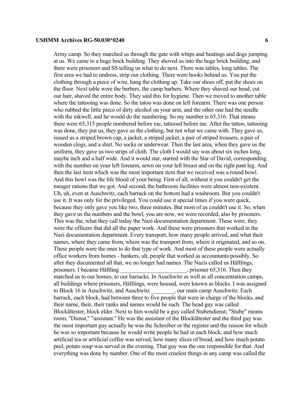Army camp. So they marched us through the gate with whips and beatings and dogs jumping at us. We came to a huge brick building. They shoved us into the huge brick building, and

there were prisoners and SS telling us what to do next. There was tables, long tables. The first area we had to undress, strip our clothing. There were hooks behind us. You put the clothing through a piece of wire, hang the clothing up. Take our shoes off, put the shoes on the floor. Next table were the barbers, the camp barbers. Where they shaved our head, cut our hair, shaved the entire body. They said this for hygiene. Then we moved to another table where the tattooing was done. So the tatoo was done on left forearm. There was one person who rubbed the little piece of dirty alcohol on your arm, and the other one had the needle with the inkwell, and he would do the numbering. So my number is 65,316. That means there were 65,315 people numbered before me, tattooed before me. After the tattoo, tattooing was done, they put us, they gave us the clothing, but not what we came with. They gave us, issued us a striped brown cap, a jacket, a striped jacket, a pair of striped trousers, a pair of wooden clogs, and a shirt. No socks or underwear. Then the last area, when they gave us the uniform, they gave us two strips of cloth. The cloth I would say was about six inches long, maybe inch and a half wide. And it would star, starred with the Star of David, corresponding with the number on your left forearm, sewn on your left breast and on the right pant leg. And then the last item which was the most important item that we received was a round bowl. And this bowl was the life blood of your being. First of all, without it you couldn't get the meager rations that we got. And second, the bathroom facilities were almost non-existent. Uh, uh, even at Auschwitz, each barrack on the bottom had a washroom. But you couldn't use it. It was only for the privileged. You could use it special times if you were quick, because they only gave you like two, three minutes. But most of us couldn't use it. So, when they gave us the numbers and the bowl, you are now, we were recorded, also by prisoners. This was the, what they call today the Nazi documentation department. These were, they were the officers that did all the paper work. And these were prisoners that worked in the Nazi documentation department. Every transport, how many people arrived, and what their names, where they came from, where was the transport from, where it originated, and so on. These people were the ones to do that type of work. And most of these people were actually office workers from homes - bankers, uh, people that worked as accountants possibly. So after they documented all that, we no longer had names. The Nazis called us Häftlings, prisoners. I became Häftling equals are equally prisoner 65,316. Then they marched us to our homes, to our barracks. In Auschwitz as well as all concentration camps, all buildings where prisoners, Häftlings, were housed, were known as blocks. I was assigned to Block 16 in Auschwitz, and Auschwitz \_\_\_\_\_\_\_, our main camp Auschwitz. Each barrack, each block, had between three to five people that were in charge of the blocks, and their name, their, their ranks and names would be such. The head guy was called Blockältester, block elder. Next to him would be a guy called Stubendienst; "Stube" means room, "Dienst," "assistant." He was the assistant of the Blockältester and the third guy was the most important guy actually he was the Schreiber or the register and the reason for which he was so important because he would write people he had in each block, and how much artificial tea or artificial coffee was served, how many slices of bread, and how much potato peel, potato soup was served in the evening. That guy was the one responsible for that. And everything was done by number. One of the most cruelest things in any camp was called the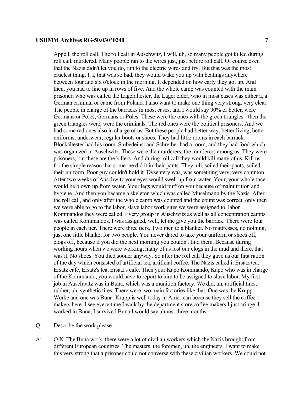Appell, the roll call. The roll call in Auschwitz, I will, uh, so many people got killed during roll call, murdered. Many people ran to the wires just, just before roll call. Of course even that the Nazis didn't let you do, run to the electric wires and fry. But that was the most cruelest thing. I, I, that was so bad, they would wake you up with beatings anywhere between four and six o'clock in the morning. It depended on how early they got up. And then, you had to line up in rows of five. And the whole camp was counted with the main prisoner, who was called the Lagerältester, the Lager elder, who in most cases was either a, a German criminal or came from Poland. I also want to make one thing very strong, very clear. The people in charge of the barracks in most cases, and I would say 90% or better, were Germans or Poles, Germans or Poles. These were the ones with the green triangles - then the green triangles were, were the criminals. The red ones were the political prisoners. And we had some red ones also in charge of us. But these people had better way, better living, better uniforms, underwear, regular boots or shoes. They had little rooms in each barrack. Blockältester had his room. Stubedeinst and Schreiber had a room, and they had food which was organized in Auschwitz. These were the murderers, the murderers among us. They were prisoners, but these are the killers. And during roll call they would kill many of us. Kill us for the simple reason that someone did it in their pants. They, uh, soiled their pants, soiled their uniform. Poor guy couldn't hold it. Dysentery was, was something very, very common. After two weeks of Auschwitz your eyes would swell up from water. Your, your whole face would be blown up from water. Your legs would puff on you because of malnutrition and hygiene. And then you became a skeleton which was called Muselmann by the Nazis. After the roll call, and only after the whole camp was counted and the count was correct, only then we were able to go to the labor, slave labor work sites we were assigned to, labor Kommandos they were called. Every group in Auschwitz as well as all concentration camps was called Kommandos. I was assigned, well, let me give you the barrack. There were four people in each tier. There were three tiers. Two men to a blanket. No mattresses, no nothing, just one little blanket for two people. You never dared to take your uniform or shoes off, clogs off, because if you did the next morning you couldn't find them. Because during working hours when we were working, many of us lost our clogs in the mud and there, that was it. No shoes. You died sooner anyway. So after the roll call they gave us our first ration of the day which consisted of artificial tea, artificial coffee. The Nazis called it Ersatz tea, Ersatz cafe, Ersatz's tea, Ersatz's cafe. Then your Kapo Kommando, Kapo who was in charge of the Kommando, you would have to report to him to be assigned to slave labor. My first job in Auschwitz was in Buna, which was a munition factory. We did, uh, artificial tires, rubber, uh, synthetic tires. There were two main factories like that. One was the Krupp Werke and one was Buna. Krupp is well today in American because they sell the coffee makers here. I see every time I walk by the department store coffee makers I just cringe. I worked in Buna, I survived Buna I would say almost three months.

- Q: Describe the work please.
- A: O.K. The Buna work, there were a lot of civilian workers which the Nazis brought from different European countries. The masters, the foremen, uh, the engineers. I want to make this very strong that a prisoner could not converse with these civilian workers. We could not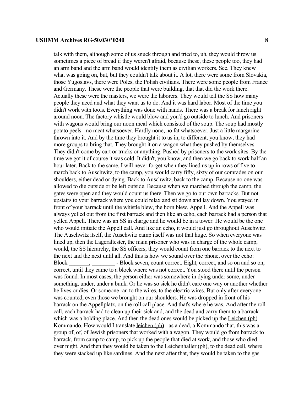talk with them, although some of us snuck through and tried to, uh, they would throw us sometimes a piece of bread if they weren't afraid, because these, these people too, they had an arm band and the arm band would identify them as civilian workers. See. They knew what was going on, but, but they couldn't talk about it. A lot, there were some from Slovakia, those Yugoslavs, there were Poles, the Polish civilians. There were some people from France and Germany. These were the people that were building, that that did the work there. Actually these were the masters, we were the laborers. They would tell the SS how many people they need and what they want us to do. And it was hard labor. Most of the time you didn't work with tools. Everything was done with hands. There was a break for lunch right around noon. The factory whistle would blow and you'd go outside to lunch. And prisoners with wagons would bring our noon meal which consisted of the soup. The soup had mostly potato peels - no meat whatsoever. Hardly none, no fat whatsoever. Just a little margarine thrown into it. And by the time they brought it to us in, to different, you know, they had more groups to bring that. They brought it on a wagon what they pushed by themselves. They didn't come by cart or trucks or anything. Pushed by prisoners to the work sites. By the time we got it of course it was cold. It didn't, you know, and then we go back to work half an hour later. Back to the same. I will never forget when they lined us up in rows of five to march back to Auschwitz, to the camp, you would carry fifty, sixty of our comrades on our shoulders, either dead or dying. Back to Auschwitz, back to the camp. Because no one was allowed to die outside or be left outside. Because when we marched through the camp, the gates were open and they would count us there. Then we go to our own barracks. But not upstairs to your barrack where you could relax and sit down and lay down. You stayed in front of your barrack until the whistle blew, the horn blew, Appell. And the Appell was always yelled out from the first barrack and then like an echo, each barrack had a person that yelled Appell. There was an SS in charge and he would be in a tower. He would be the one who would initiate the Appell call. And like an echo, it would just go throughout Auschwitz. The Auschwitz itself, the Auschwitz camp itself was not that huge. So when everyone was lined up, then the Lagerältester, the main prisoner who was in charge of the whole camp, would, the SS hierarchy, the SS officers, they would count from one barrack to the next to the next and the next until all. And this is how we sound over the phone, over the echo: Block Fight, correct. Eight, correct, and so on and so on, correct, until they came to a block where was not correct. You stood there until the person was found. In most cases, the person either was somewhere in dying under some, under something, under, under a bunk. Or he was so sick he didn't care one way or another whether he lives or dies. Or someone ran to the wires, to the electric wires. But only after everyone was counted, even those we brought on our shoulders. He was dropped in front of his barrack on the Appellplatz, on the roll call place. And that's where he was. And after the roll call, each barrack had to clean up their sick and, and the dead and carry them to a barrack which was a holding place. And then the dead ones would be picked up the Leichen (ph) Kommando. How would I translate leichen (ph) - as a dead, a Kommando that, this was a group of, of, of Jewish prisoners that worked with a wagon. They would go from barrack to barrack, from camp to camp, to pick up the people that died at work, and those who died over night. And then they would be taken to the Leichenhaller (ph), to the dead cell, where they were stacked up like sardines. And the next after that, they would be taken to the gas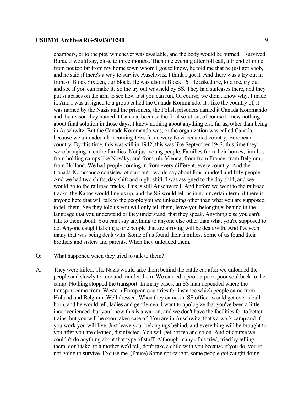chambers, or to the pits, whichever was available, and the body would be burned. I survived Buna...I would say, close to three months. Then one evening after roll call, a friend of mine from not too far from my home town whom I got to know, he told me that he just got a job, and he said if there's a way to survive Auschwitz, I think I got it. And there was a try out in front of Block Sixteen, our block. He was also in Block 16. He asked me, told me, try out and see if you can make it. So the try out was held by SS. They had suitcases there, and they put suitcases on the arm to see how fast you can run. Of course, we didn't know why. I made it. And I was assigned to a group called the Canada Kommando. It's like the country of, it was named by the Nazis and the prisoners, the Polish prisoners named it Canada Kommando and the reason they named it Canada, because the final solution, of course I knew nothing about final solution in those days. I knew nothing about anything else far as, other than being in Auschwitz. But the Canada Kommando was, or the organization was called Canada, because we unloaded all incoming Jews from every Nazi-occupied country, European country. By this time, this was still in 1942, this was like September 1942, this time they were bringing in entire families. Not just young people. Families from their homes, families from holding camps like Nováky, and from, uh, Vienna, from from France, from Belgium, from Holland. We had people coming in from every different, every country. And the Canada Kommando consisted of start out I would say about four hundred and fifty people. And we had two shifts, day shift and night shift. I was assigned to the day shift, and we would go to the railroad tracks. This is still Auschwitz I. And before we went to the railroad tracks, the Kapos would line us up, and the SS would tell us in no uncertain term, if there is anyone here that will talk to the people you are unloading other than what you are supposed to tell them. See they told us you will only tell them, leave you belongings behind in the language that you understand or they understand, that they speak. Anything else you can't talk to them about. You can't say anything to anyone else other than what you're supposed to do. Anyone caught talking to the people that are arriving will be dealt with. And I've seen many that was being dealt with. Some of us found their families. Some of us found their brothers and sisters and parents. When they unloaded them.

- Q: What happened when they tried to talk to them?
- A: They were killed. The Nazis would take them behind the cattle car after we unloaded the people and slowly torture and murder them. We carried a poor, a poor, poor soul back to the camp. Nothing stopped the transport. In many cases, an SS man depended where the transport came from. Western European countries for instance which people came from Holland and Belgium. Well dressed. When they came, an SS officer would get over a bull horn, and he would tell, ladies and gentlemen, I want to apologize that you've been a little inconvenienced, but you know this is a war on, and we don't have the facilities for to better trains, but you will be soon taken care of. You are in Auschwitz, that's a work camp and if you work you will live. Just leave your belongings behind, and everything will be brought to you after you are cleaned, disinfected. You will get hot tea and so on. And of course we couldn't do anything about that type of stuff. Although many of us tried, tried by telling them, don't take, to a mother we'd tell, don't take a child with you because if you do, you're not going to survive. Excuse me. (Pause) Some got caught, some people got caught doing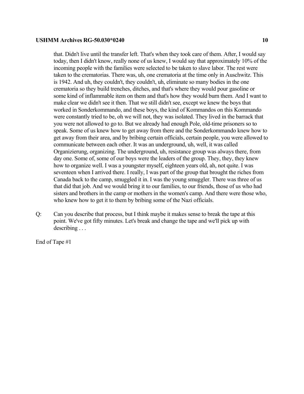that. Didn't live until the transfer left. That's when they took care of them. After, I would say today, then I didn't know, really none of us knew, I would say that approximately 10% of the incoming people with the families were selected to be taken to slave labor. The rest were taken to the crematorias. There was, uh, one crematoria at the time only in Auschwitz. This is 1942. And uh, they couldn't, they couldn't, uh, eliminate so many bodies in the one crematoria so they build trenches, ditches, and that's where they would pour gasoline or some kind of inflammable item on them and that's how they would burn them. And I want to make clear we didn't see it then. That we still didn't see, except we knew the boys that worked in Sonderkommando, and these boys, the kind of Kommandos on this Kommando were constantly tried to be, oh we will not, they was isolated. They lived in the barrack that you were not allowed to go to. But we already had enough Pole, old-time prisoners so to speak. Some of us knew how to get away from there and the Sonderkommando knew how to get away from their area, and by bribing certain officials, certain people, you were allowed to communicate between each other. It was an underground, uh, well, it was called Organizierung, organizing. The underground, uh, resistance group was always there, from day one. Some of, some of our boys were the leaders of the group. They, they, they knew how to organize well. I was a youngster myself, eighteen years old, ah, not quite. I was seventeen when I arrived there. I really, I was part of the group that brought the riches from Canada back to the camp, smuggled it in. I was the young smuggler. There was three of us that did that job. And we would bring it to our families, to our friends, those of us who had sisters and brothers in the camp or mothers in the women's camp. And there were those who, who knew how to get it to them by bribing some of the Nazi officials.

Q: Can you describe that process, but I think maybe it makes sense to break the tape at this point. We've got fifty minutes. Let's break and change the tape and we'll pick up with describing . . .

End of Tape #1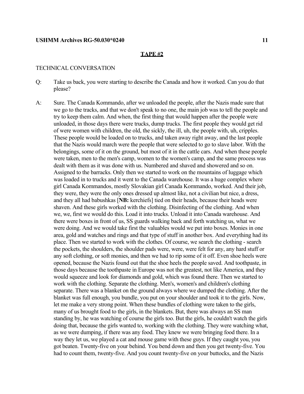#### **TAPE #2**

## TECHNICAL CONVERSATION

- Q: Take us back, you were starting to describe the Canada and how it worked. Can you do that please?
- A: Sure. The Canada Kommando, after we unloaded the people, after the Nazis made sure that we go to the tracks, and that we don't speak to no one, the main job was to tell the people and try to keep them calm. And when, the first thing that would happen after the people were unloaded, in those days there were trucks, dump trucks. The first people they would get rid of were women with children, the old, the sickly, the ill, uh, the people with, uh, cripples. These people would be loaded on to trucks, and taken away right away, and the last people that the Nazis would march were the people that were selected to go to slave labor. With the belongings, some of it on the ground, but most of it in the cattle cars. And when these people were taken, men to the men's camp, women to the women's camp, and the same process was dealt with them as it was done with us. Numbered and shaved and showered and so on. Assigned to the barracks. Only then we started to work on the mountains of luggage which was loaded in to trucks and it went to the Canada warehouse. It was a huge complex where girl Canada Kommandos, mostly Slovakian girl Canada Kommando, worked. And their job, they were, they were the only ones dressed up almost like, not a civilian but nice, a dress, and they all had babushkas [**NB:** kerchiefs] tied on their heads, because their heads were shaven. And these girls worked with the clothing. Disinfecting of the clothing. And when we, we, first we would do this. Load it into trucks. Unload it into Canada warehouse. And there were boxes in front of us, SS guards walking back and forth watching us, what we were doing. And we would take first the valuables would we put into boxes. Monies in one area, gold and watches and rings and that type of stuff in another box. And everything had its place. Then we started to work with the clothes. Of course, we search the clothing - search the pockets, the shoulders, the shoulder pads were, were, were felt for any, any hard stuff or any soft clothing, or soft monies, and then we had to rip some of it off. Even shoe heels were opened, because the Nazis found out that the shoe heels the people saved. And toothpaste, in those days because the toothpaste in Europe was not the greatest, not like America, and they would squeeze and look for diamonds and gold, which was found there. Then we started to work with the clothing. Separate the clothing. Men's, women's and children's clothing separate. There was a blanket on the ground always where we dumped the clothing. After the blanket was full enough, you bundle, you put on your shoulder and took it to the girls. Now, let me make a very strong point. When these bundles of clothing were taken to the girls, many of us brought food to the girls, in the blankets. But, there was always an SS man standing by, he was watching of course the girls too. But the girls, he couldn't watch the girls doing that, because the girls wanted to, working with the clothing. They were watching what, as we were dumping, if there was any food. They knew we were bringing food there. In a way they let us, we played a cat and mouse game with these guys. If they caught you, you got beaten. Twenty-five on your behind. You bend down and then you get twenty-five. You had to count them, twenty-five. And you count twenty-five on your buttocks, and the Nazis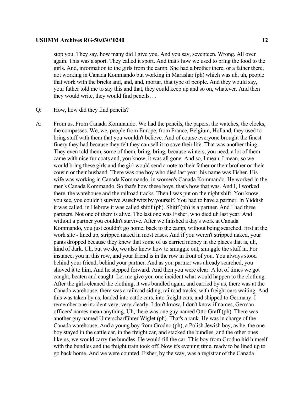stop you. They say, how many did I give you. And you say, seventeen. Wrong. All over again. This was a sport. They called it sport. And that's how we used to bring the food to the girls. And, information to the girls from the camp. She had a brother there, or a father there, not working in Canada Kommando but working in Marashar (ph) which was uh, uh, people that work with the bricks and, and, and, mortar, that type of people. And they would say, your father told me to say this and that, they could keep up and so on, whatever. And then they would write, they would find pencils. . .

- Q: How, how did they find pencils?
- A: From us. From Canada Kommando. We had the pencils, the papers, the watches, the clocks, the compasses. We, we, people from Europe, from France, Belgium, Holland, they used to bring stuff with them that you wouldn't believe. And of course everyone brought the finest finery they had because they felt they can sell it to save their life. That was another thing. They even told them, some of them, bring, bring, because winters, you need, a lot of them came with nice fur coats and, you know, it was all gone. And so, I mean, I mean, so we would bring these girls and the girl would send a note to their father or their brother or their cousin or their husband. There was one boy who died last year, his name was Fisher. His wife was working in Canada Kommando, in women's Canada Kommando. He worked in the men's Canada Kommando. So that's how these boys, that's how that was. And I, I worked there, the warehouse and the railroad tracks. Then I was put on the night shift. You know, you see, you couldn't survive Auschwitz by yourself. You had to have a partner. In Yiddish it was called, in Hebrew it was called shitif (ph). Shitif (ph) is a partner. And I had three partners. Not one of them is alive. The last one was Fisher, who died uh last year. And without a partner you couldn't survive. After we finished a day's work at Canada Kommando, you just couldn't go home, back to the camp, without being searched, first at the work site - lined up, stripped naked in most cases. And if you weren't stripped naked, your pants dropped because they knew that some of us carried money in the places that is, uh, kind of dark. Uh, but we do, we also knew how to smuggle out, smuggle the stuff in. For instance, you in this row, and your friend is in the row in front of you. You always stood behind your friend, behind your partner. And as you partner was already searched, you shoved it to him. And he stepped forward. And then you were clear. A lot of times we got caught, beaten and caught. Let me give you one incident what would happen to the clothing. After the girls cleaned the clothing, it was bundled again, and carried by us, there was at the Canada warehouse, there was a railroad siding, railroad tracks, with freight cars waiting. And this was taken by us, loaded into cattle cars, into freight cars, and shipped to Germany. I remember one incident very, very clearly. I don't know, I don't know if names, German officers' names mean anything. Uh, there was one guy named Otto Graff (ph). There was another guy named Unterscharführer Wiglet (ph). That's a rank. He was in charge of the Canada warehouse. And a young boy from Grodno (ph), a Polish Jewish boy, as he, the one boy stayed in the cattle car, in the freight car, and stacked the bundles, and the other ones like us, we would carry the bundles. He would fill the car. This boy from Grodno hid himself with the bundles and the freight train took off. Now it's evening time, ready to be lined up to go back home. And we were counted. Fisher, by the way, was a registrar of the Canada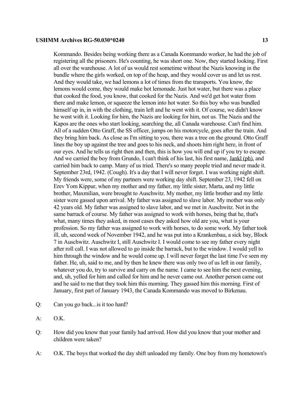Kommando. Besides being working there as a Canada Kommando worker, he had the job of registering all the prisoners. He's counting, he was short one. Now, they started looking. First all over the warehouse. A lot of us would rest sometime without the Nazis knowing in the bundle where the girls worked, on top of the heap, and they would cover us and let us rest. And they would take, we had lemons a lot of times from the transports. You know, the lemons would come, they would make hot lemonade. Just hot water, but there was a place that cooked the food, you know, that cooked for the Nazis. And we'd get hot water from there and make lemon, or squeeze the lemon into hot water. So this boy who was bundled himself up in, in with the clothing, train left and he went with it. Of course, we didn't know he went with it. Looking for him, the Nazis are looking for him, not us. The Nazis and the Kapos are the ones who start looking, searching the, all Canada warehouse. Can't find him. All of a sudden Otto Graff, the SS officer, jumps on his motorcycle, goes after the train. And they bring him back. As close as I'm sitting to you, there was a tree on the ground. Otto Graff lines the boy up against the tree and goes to his neck, and shoots him right here, in front of our eyes. And he tells us right then and then, this is how you will end up if you try to escape. And we carried the boy from Grundo, I can't think of his last, his first name, Jankl (ph), and carried him back to camp. Many of us tried. There's so many people tried and never made it. September 23rd, 1942. (Cough). It's a day that I will never forget. I was working night shift. My friends were, some of my partners were working day shift. September 23, 1942 fell on Erev Yom Kippur, when my mother and my father, my little sister, Marta, and my little brother, Maxmilian, were brought to Auschwitz. My mother, my little brother and my little sister were gassed upon arrival. My father was assigned to slave labor. My mother was only 42 years old. My father was assigned to slave labor, and we met in Auschwitz. Not in the same barrack of course. My father was assigned to work with horses, being that he, that's what, many times they asked, in most cases they asked how old are you, what is your profession. So my father was assigned to work with horses, to do some work. My father took ill, uh, second week of November 1942, and he was put into a Krankenbau, a sick bay, Block 7 in Auschwitz. Auschwitz I, still Auschwitz I. I would come to see my father every night after roll call. I was not allowed to go inside the barrack, but to the window. I would yell to him through the window and he would come up. I will never forget the last time I've seen my father. He, uh, said to me, and by then he knew there was only two of us left in our family, whatever you do, try to survive and carry on the name. I came to see him the next evening, and, uh, yelled for him and called for him and he never came out. Another person came out and he said to me that they took him this morning. They gassed him this morning. First of January, first part of January 1943, the Canada Kommando was moved to Birkenau.

- Q: Can you go back...is it too hard?
- A: O.K.
- Q: How did you know that your family had arrived. How did you know that your mother and children were taken?
- A: O.K. The boys that worked the day shift unloaded my family. One boy from my hometown's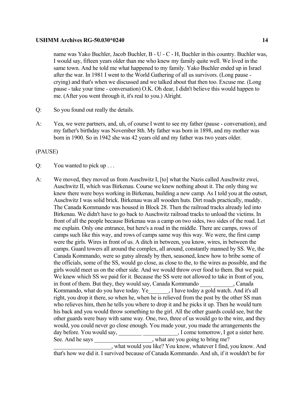name was Yako Buchler, Jacob Buchler, B - U - C - H, Buchler in this country. Buchler was, I would say, fifteen years older than me who knew my family quite well. We lived in the same town. And he told me what happened to my family. Yako Buchler ended up in Israel after the war. In 1981 I went to the World Gathering of all us survivors. (Long pause crying) and that's when we discussed and we talked about that then too. Excuse me. (Long pause - take your time - conversation) O.K. Oh dear, I didn't believe this would happen to me. (After you went through it, it's real to you.) Alright.

- Q: So you found out really the details.
- A: Yea, we were partners, and, uh, of course I went to see my father (pause conversation), and my father's birthday was November 8th. My father was born in 1898, and my mother was born in 1900. So in 1942 she was 42 years old and my father was two years older.

## (PAUSE)

- Q: You wanted to pick up . . .
- A: We moved, they moved us from Auschwitz I, [to] what the Nazis called Auschwitz zwei, Auschwitz II, which was Birkenau. Course we knew nothing about it. The only thing we knew there were boys working in Birkenau, building a new camp. As I told you at the outset, Auschwitz I was solid brick. Birkenau was all wooden huts. Dirt roads practically, muddy. The Canada Kommando was housed in Block 28. Then the railroad tracks already led into Birkenau. We didn't have to go back to Auschwitz railroad tracks to unload the victims. In front of all the people because Birkenau was a camp on two sides, two sides of the road. Let me explain. Only one entrance, but here's a road in the middle. There are camps, rows of camps such like this way, and rows of camps same way this way. We were, the first camp were the girls. Wires in front of us. A ditch in between, you know, wires, in between the camps. Guard towers all around the complex, all around, constantly manned by SS. We, the Canada Kommando, were so gutsy already by then, seasoned, knew how to bribe some of the officials, some of the SS, would go close, as close to the, to the wires as possible, and the girls would meet us on the other side. And we would throw over food to them. But we paid. We knew which SS we paid for it. Because the SS were not allowed to take in front of you, in front of them. But they, they would say, Canada Kommando , Canada Kommando, what do you have today. Ye\_\_\_\_\_\_\_, I have today a gold watch. And it's all right, you drop it there, so when he, when he is relieved from the post by the other SS man who relieves him, then he tells you where to drop it and he picks it up. Then he would turn his back and you would throw something to the girl. All the other guards could see, but the other guards were busy with same way. One, two, three of us would go to the wire, and they would, you could never go close enough. You made your, you made the arrangements the day before. You would say, \_\_\_\_\_\_\_\_\_\_\_\_\_\_\_\_\_\_\_\_\_\_\_, I come tomorrow, I got a sister here. See. And he says \_\_\_\_\_\_\_\_\_\_\_\_\_\_\_\_, what are you going to bring me?

\_\_\_\_\_\_\_\_\_\_\_\_\_\_\_\_\_\_\_\_, what would you like? You know, whatever I find, you know. And that's how we did it. I survived because of Canada Kommando. And uh, if it wouldn't be for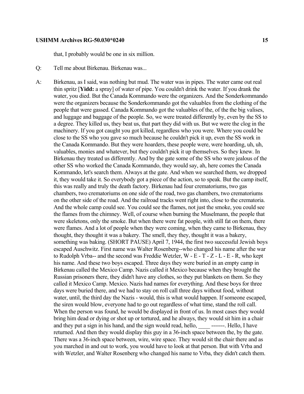that, I probably would be one in six million.

- Q: Tell me about Birkenau. Birkenau was...
- A: Birkenau, as I said, was nothing but mud. The water was in pipes. The water came out real thin spritz [**Yidd:** a spray] of water of pipe. You couldn't drink the water. If you drank the water, you died. But the Canada Kommando were the organizers. And the Sonderkommando were the organizers because the Sonderkommando got the valuables from the clothing of the people that were gassed. Canada Kommando got the valuables of the, of the the big valises, and luggage and baggage of the people. So, we were treated differently by, even by the SS to a degree. They killed us, they beat us, that part they did with us. But we were the clog in the machinery. If you got caught you got killed, regardless who you were. Where you could be close to the SS who you gave so much because he couldn't pick it up, even the SS work in the Canada Kommando. But they were hoarders, these people were, were hoarding, uh, uh, valuables, monies and whatever, but they couldn't pick it up themselves. So they knew. In Birkenau they treated us differently. And by the gate some of the SS who were jealous of the other SS who worked the Canada Kommando, they would say, ah, here comes the Canada Kommando, let's search them. Always at the gate. And when we searched them, we dropped it, they would take it. So everybody got a piece of the action, so to speak. But the camp itself, this was really and truly the death factory. Birkenau had four crematoriums, two gas chambers, two crematoriums on one side of the road, two gas chambers, two crematoriums on the other side of the road. And the railroad tracks went right into, close to the crematoria. And the whole camp could see. You could see the flames, not just the smoke, you could see the flames from the chimney. Well, of course when burning the Muselmann, the people that were skeletons, only the smoke. But when there were fat people, with still fat on them, there were flames. And a lot of people when they were coming, when they came to Birkenau, they thought, they thought it was a bakery. The smell, they they, thought it was a bakery, something was baking. (SHORT PAUSE) April 7, 1944, the first two successful Jewish boys escaped Auschwitz. First name was Walter Rosenberg--who changed his name after the war to Rudolph Vrba-- and the second was Freddie Wetzler, W - E - T - Z - L - E - R, who kept his name. And these two boys escaped. Three days they were buried in an empty camp in Birkenau called the Mexico Camp. Nazis called it Mexico because when they brought the Russian prisoners there, they didn't have any clothes, so they put blankets on them. So they called it Mexico Camp. Mexico. Nazis had names for everything. And these boys for three days were buried there, and we had to stay on roll call three days without food, without water, until, the third day the Nazis - would, this is what would happen. If someone escaped, the siren would blow, everyone had to go out regardless of what time, stand the roll call. When the person was found, he would be displayed in front of us. In most cases they would bring him dead or dying or shot up or tortured, and he always, they would sit him in a chair and they put a sign in his hand, and the sign would read, hello, \_\_\_\_\_\_\_\_\_. Hello, I have returned. And then they would display this guy in a 36-inch space between the, by the gate. There was a 36-inch space between, wire, wire space. They would sit the chair there and as you marched in and out to work, you would have to look at that person. But with Vrba and with Wetzler, and Walter Rosenberg who changed his name to Vrba, they didn't catch them.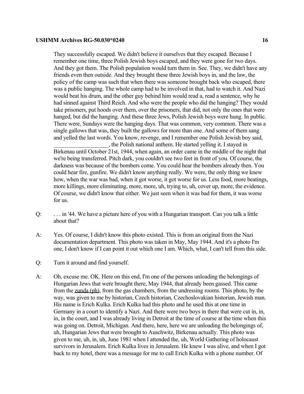They successfully escaped. We didn't believe it ourselves that they escaped. Because I remember one time, three Polish Jewish boys escaped, and they were gone for two days. And they got them. The Polish population would turn them in. See. They, we didn't have any friends even then outside. And they brought these three Jewish boys in, and the law, the policy of the camp was such that when there was someone brought back who escaped, there was a public hanging. The whole camp had to be involved in that, had to watch it. And Nazi would beat his drum, and the other guy behind him would read a, read a sentence, why he had sinned against Third Reich. And who were the people who did the hanging? They would take prisoners, put hoods over them, over the prisoners, that did, not only the ones that were hanged, but did the hanging. And these three Jews, Polish Jewish boys were hung. In public. There were, Sundays were the hanging days. That was common, very common. There was a single gallows that was, they built the gallows for more than one. And some of them sang and yelled the last words. You know, revenge, and I remember one Polish Jewish boy said,

\_\_\_\_\_\_\_\_\_\_\_\_\_\_\_\_\_\_\_, the Polish national anthem. He started yelling it. I stayed in Birkenau until October 21st, 1944, when again, an order came in the middle of the night that we're being transferred. Pitch dark, you couldn't see two feet in front of you. Of course, the darkness was because of the bombers come. You could hear the bombers already then. You could hear fire, gunfire. We didn't know anything really. We were, the only thing we knew how, when the war was bad, when it got worse, it got worse for us. Less food, more beatings, more killings, more eliminating, more, more, uh, trying to, uh, cover up, more, the evidence. Of course, we didn't know that either. We just seen when it was bad for them, it was worse for us.

- Q: . . . in '44. We have a picture here of you with a Hungarian transport. Can you talk a little about that?
- A: Yes. Of course, I didn't know this photo existed. This is from an original from the Nazi documentation department. This photo was taken in May, May 1944. And it's a photo I'm one, I don't know if I can point it out which one I am. Which, what, I can't tell from this side.
- Q: Turn it around and find yourself.
- A: Oh, excuse me. OK. Here on this end, I'm one of the persons unloading the belongings of Hungarian Jews that were brought there, May 1944, that already been gassed. This came from the zunda (ph), from the gas chambers, from the undressing rooms. This photo, by the way, was given to me by historian, Czech historian, Czechoslovakian historian, Jewish man. His name is Erich Kulka. Erich Kulka had this photo and he used this at one time in Germany in a court to identify a Nazi. And there were two boys in there that were cut in, in, in, in the court, and I was already living in Detroit at the time of course at the time when this was going on. Detroit, Michigan. And there, here, here we are unloading the belongings of, uh, Hungarian Jews that were brought to Auschwitz, Birkenau actually. This photo was given to me, uh, in, uh, June 1981 when I attended the, uh, World Gathering of holocaust survivors in Jerusalem. Erich Kulka lives in Jerusalem. He knew I was alive, and when I got back to my hotel, there was a message for me to call Erich Kulka with a phone number. Of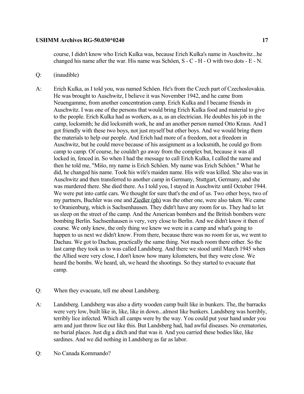course, I didn't know who Erich Kulka was, because Erich Kulka's name in Auschwitz...he changed his name after the war. His name was Schöen, S - C - H - O with two dots - E - N.

- Q: (inaudible)
- A: Erich Kulka, as I told you, was named Schöen. He's from the Czech part of Czechoslovakia. He was brought to Auschwitz, I believe it was November 1942, and he came from Neuengamme, from another concentration camp. Erich Kulka and I became friends in Auschwitz. I was one of the persons that would bring Erich Kulka food and material to give to the people. Erich Kulka had as workers, as a, as an electrician. He doubles his job in the camp, locksmith; he did locksmith work, he and an another person named Otto Kraus. And I got friendly with these two boys, not just myself but other boys. And we would bring them the materials to help our people. And Erich had more of a freedom, not a freedom in Auschwitz, but he could move because of his assignment as a locksmith, he could go from camp to camp. Of course, he couldn't go away from the complex but, because it was all locked in, fenced in. So when I had the message to call Erich Kulka, I called the name and then he told me, "Mišo, my name is Erich Schöen. My name was Erich Schöen." What he did, he changed his name. Took his wife's maiden name. His wife was killed. She also was in Auschwitz and then transferred to another camp in Germany, Stuttgart, Germany, and she was murdered there. She died there. As I told you, I stayed in Auschwitz until October 1944. We were put into cattle cars. We thought for sure that's the end of us. Two other boys, two of my partners, Buchler was one and Ziedler (ph) was the other one, were also taken. We came to Oranienburg, which is Sachsenhausen. They didn't have any room for us. They had to let us sleep on the street of the camp. And the American bombers and the British bombers were bombing Berlin. Sachsenhausen is very, very close to Berlin. And we didn't know it then of course. We only knew, the only thing we knew we were in a camp and what's going to happen to us next we didn't know. From there, because there was no room for us, we went to Dachau. We got to Dachau, practically the same thing. Not much room there either. So the last camp they took us to was called Landsberg. And there we stood until March 1945 when the Allied were very close, I don't know how many kilometers, but they were close. We heard the bombs. We heard, uh, we heard the shootings. So they started to evacuate that camp.
- Q: When they evacuate, tell me about Landsberg.
- A: Landsberg. Landsberg was also a dirty wooden camp built like in bunkers. The, the barracks were very low, built like in, like, like in down...almost like bunkers. Landsberg was horribly, terribly lice infected. Which all camps were by the way. You could put your hand under you arm and just throw lice out like this. But Landsberg had, had awful diseases. No crematories, no burial places. Just dig a ditch and that was it. And you carried these bodies like, like sardines. And we did nothing in Landsberg as far as labor.
- Q: No Canada Kommando?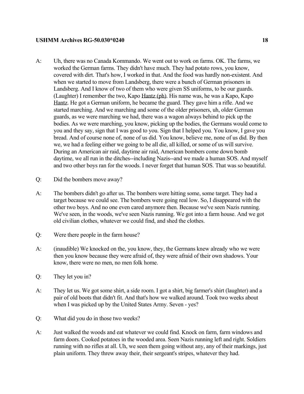- A: Uh, there was no Canada Kommando. We went out to work on farms. OK. The farms, we worked the German farms. They didn't have much. They had potato rows, you know, covered with dirt. That's how, I worked in that. And the food was hardly non-existent. And when we started to move from Landsberg, there were a bunch of German prisoners in Landsberg. And I know of two of them who were given SS uniforms, to be our guards. (Laughter) I remember the two, Kapo Hantz (ph). His name was, he was a Kapo, Kapo Hantz. He got a German uniform, he became the guard. They gave him a rifle. And we started marching. And we marching and some of the older prisoners, uh, older German guards, as we were marching we had, there was a wagon always behind to pick up the bodies. As we were marching, you know, picking up the bodies, the Germans would come to you and they say, sign that I was good to you. Sign that I helped you. You know, I gave you bread. And of course none of, none of us did. You know, believe me, none of us did. By then we, we had a feeling either we going to be all die, all killed, or some of us will survive. During an American air raid, daytime air raid, American bombers come down bomb daytime, we all run in the ditches--including Nazis--and we made a human SOS. And myself and two other boys ran for the woods. I never forget that human SOS. That was so beautiful.
- Q: Did the bombers move away?
- A: The bombers didn't go after us. The bombers were hitting some, some target. They had a target because we could see. The bombers were going real low. So, I disappeared with the other two boys. And no one even cared anymore then. Because we've seen Nazis running. We've seen, in the woods, we've seen Nazis running. We got into a farm house. And we got old civilian clothes, whatever we could find, and shed the clothes.
- Q: Were there people in the farm house?
- A: (inaudible) We knocked on the, you know, they, the Germans knew already who we were then you know because they were afraid of, they were afraid of their own shadows. Your know, there were no men, no men folk home.
- Q: They let you in?
- A: They let us. We got some shirt, a side room. I got a shirt, big farmer's shirt (laughter) and a pair of old boots that didn't fit. And that's how we walked around. Took two weeks about when I was picked up by the United States Army. Seven - yes?
- Q: What did you do in those two weeks?
- A: Just walked the woods and eat whatever we could find. Knock on farm, farm windows and farm doors. Cooked potatoes in the wooded area. Seen Nazis running left and right. Soldiers running with no rifles at all. Uh, we seen them going without any, any of their markings, just plain uniform. They threw away their, their sergeant's stripes, whatever they had.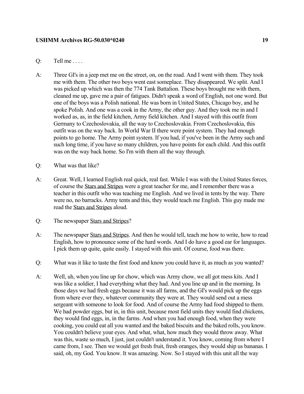## $Q:$  Tell me . . . .

- A: Three GI's in a jeep met me on the street, on, on the road. And I went with them. They took me with them. The other two boys went east someplace. They disappeared. We split. And I was picked up which was then the 774 Tank Battalion. These boys brought me with them, cleaned me up, gave me a pair of fatigues. Didn't speak a word of English, not one word. But one of the boys was a Polish national. He was born in United States, Chicago boy, and he spoke Polish. And one was a cook in the Army, the other guy. And they took me in and I worked as, as, in the field kitchen, Army field kitchen. And I stayed with this outfit from Germany to Czechoslovakia, all the way to Czechoslovakia. From Czechoslovakia, this outfit was on the way back. In World War II there were point system. They had enough points to go home. The Army point system. If you had, if you've been in the Army such and such long time, if you have so many children, you have points for each child. And this outfit was on the way back home. So I'm with them all the way through.
- Q: What was that like?
- A: Great. Well, I learned English real quick, real fast. While I was with the United States forces, of course the Stars and Stripes were a great teacher for me, and I remember there was a teacher in this outfit who was teaching me English. And we lived in tents by the way. There were no, no barracks. Army tents and this, they would teach me English. This guy made me read the Stars and Stripes aloud.
- Q: The newspaper Stars and Stripes?
- A: The newspaper Stars and Stripes. And then he would tell, teach me how to write, how to read English, how to pronounce some of the hard words. And I do have a good ear for languages. I pick them up quite, quite easily. I stayed with this unit. Of course, food was there.
- Q: What was it like to taste the first food and know you could have it, as much as you wanted?
- A: Well, uh, when you line up for chow, which was Army chow, we all got mess kits. And I was like a soldier, I had everything what they had. And you line up and in the morning. In those days we had fresh eggs because it was all farms, and the GI's would pick up the eggs from where ever they, whatever community they were at. They would send out a mess sergeant with someone to look for food. And of course the Army had food shipped to them. We had powder eggs, but in, in this unit, because most field units they would find chickens, they would find eggs, in, in the farms. And when you had enough food, when they were cooking, you could eat all you wanted and the baked biscuits and the baked rolls, you know. You couldn't believe your eyes. And what, what, how much they would throw away. What was this, waste so much, I just, just couldn't understand it. You know, coming from where I came from, I see. Then we would get fresh fruit, fresh oranges, they would ship us bananas. I said, oh, my God. You know. It was amazing. Now. So I stayed with this unit all the way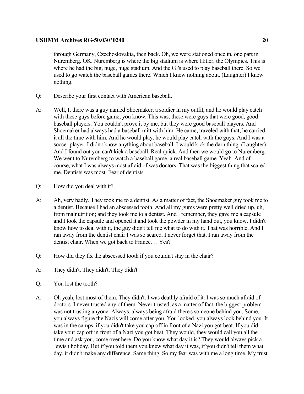through Germany, Czechoslovakia, then back. Oh, we were stationed once in, one part in Nuremberg. OK. Nuremberg is where the big stadium is where Hitler, the Olympics. This is where he had the big, huge, huge stadium. And the GI's used to play baseball there. So we used to go watch the baseball games there. Which I knew nothing about. (Laughter) I knew nothing.

- Q: Describe your first contact with American baseball.
- A: Well, I, there was a guy named Shoemaker, a soldier in my outfit, and he would play catch with these guys before game, you know. This was, these were guys that were good, good baseball players. You couldn't prove it by me, but they were good baseball players. And Shoemaker had always had a baseball mitt with him. He came, traveled with that, he carried it all the time with him. And he would play, he would play catch with the guys. And I was a soccer player. I didn't know anything about baseball. I would kick the darn thing. (Laughter) And I found out you can't kick a baseball. Real quick. And then we would go to Nuremberg. We went to Nuremberg to watch a baseball game, a real baseball game. Yeah. And of course, what I was always most afraid of was doctors. That was the biggest thing that scared me. Dentists was most. Fear of dentists.
- Q: How did you deal with it?
- A: Ah, very badly. They took me to a dentist. As a matter of fact, the Shoemaker guy took me to a dentist. Because I had an abscessed tooth. And all my gums were pretty well dried up, uh, from malnutrition; and they took me to a dentist. And I remember, they gave me a capsule and I took the capsule and opened it and took the powder in my hand out, you know. I didn't know how to deal with it, the guy didn't tell me what to do with it. That was horrible. And I ran away from the dentist chair I was so scared. I never forget that. I ran away from the dentist chair. When we got back to France. . . Yes?
- Q: How did they fix the abscessed tooth if you couldn't stay in the chair?
- A: They didn't. They didn't. They didn't.
- Q: You lost the tooth?
- A: Oh yeah, lost most of them. They didn't. I was deathly afraid of it. I was so much afraid of doctors. I never trusted any of them. Never trusted, as a matter of fact, the biggest problem was not trusting anyone. Always, always being afraid there's someone behind you. Some, you always figure the Nazis will come after you. You looked, you always look behind you. It was in the camps, if you didn't take you cap off in front of a Nazi you got beat. If you did take your cap off in front of a Nazi you got beat. They would, they would call you all the time and ask you, come over here. Do you know what day it is? They would always pick a Jewish holiday. But if you told them you knew what day it was, if you didn't tell them what day, it didn't make any difference. Same thing. So my fear was with me a long time. My trust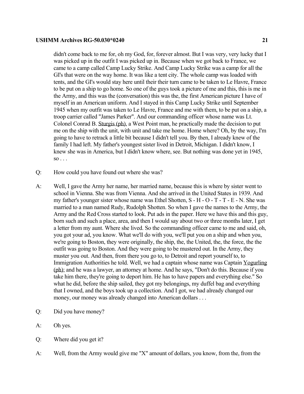didn't come back to me for, oh my God, for, forever almost. But I was very, very lucky that I was picked up in the outfit I was picked up in. Because when we got back to France, we came to a camp called Camp Lucky Strike. And Camp Lucky Strike was a camp for all the GI's that were on the way home. It was like a tent city. The whole camp was loaded with tents, and the GI's would stay here until their their turn came to be taken to Le Havre, France to be put on a ship to go home. So one of the guys took a picture of me and this, this is me in the Army, and this was the (conversation) this was the, the first American picture I have of myself in an American uniform. And I stayed in this Camp Lucky Strike until September 1945 when my outfit was taken to Le Havre, France and me with them, to be put on a ship, a troop carrier called "James Parker". And our commanding officer whose name was Lt. Colonel Conrad B. Sturgis (ph), a West Point man, he practically made the decision to put me on the ship with the unit, with unit and take me home. Home where? Oh, by the way, I'm going to have to retrack a little bit because I didn't tell you. By then, I already knew of the family I had left. My father's youngest sister lived in Detroit, Michigan. I didn't know, I knew she was in America, but I didn't know where, see. But nothing was done yet in 1945,  $\overline{\text{SO}}$  . . .

- Q: How could you have found out where she was?
- A: Well, I gave the Army her name, her married name, because this is where by sister went to school in Vienna. She was from Vienna. And she arrived in the United States in 1939. And my father's younger sister whose name was Ethel Shotten,  $S - H - O - T - T - E - N$ . She was married to a man named Rudy, Rudolph Shotten. So when I gave the names to the Army, the Army and the Red Cross started to look. Put ads in the paper. Here we have this and this guy, born such and such a place, area, and then I would say about two or three months later, I get a letter from my aunt. Where she lived. So the commanding officer came to me and said, oh, you got your ad, you know. What we'll do with you, we'll put you on a ship and when you, we're going to Boston, they were originally, the ship, the, the United, the, the force, the the outfit was going to Boston. And they were going to be mustered out. In the Army, they muster you out. And then, from there you go to, to Detroit and report yourself to, to Immigration Authorities he told. Well, we had a captain whose name was Captain Yogurling (ph); and he was a lawyer, an attorney at home. And he says, "Don't do this. Because if you take him there, they're going to deport him. He has to have papers and everything else." So what he did, before the ship sailed, they got my belongings, my duffel bag and everything that I owned, and the boys took up a collection. And I got, we had already changed our money, our money was already changed into American dollars . . .
- Q: Did you have money?
- A: Oh yes.
- Q: Where did you get it?
- A: Well, from the Army would give me "X" amount of dollars, you know, from the, from the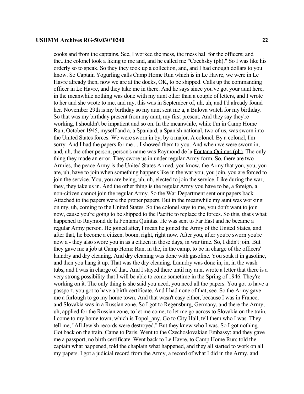cooks and from the captains. See, I worked the mess, the mess hall for the officers; and the...the colonel took a liking to me and, and he called me "Czechsky (ph)." So I was like his orderly so to speak. So they they took up a collection, and, and I had enough dollars to you know. So Captain Yogurling calls Camp Home Run which is in Le Havre, we were in Le

Havre already then, now we are at the docks, OK, to be shipped. Calls up the commanding officer in Le Havre, and they take me in there. And he says since you've got your aunt here, in the meanwhile nothing was done with my aunt other than a couple of letters, and I wrote to her and she wrote to me, and my, this was in September of, uh, uh, and I'd already found her. November 29th is my birthday so my aunt sent me a, a Bulova watch for my birthday. So that was my birthday present from my aunt, my first present. And they say they're working, I shouldn't be impatient and so on. In the meanwhile, while I'm in Camp Home Run, October 1945, myself and a, a Spaniard, a Spanish national, two of us, was sworn into the United States forces. We were sworn in by, by a major. A colonel. By a colonel, I'm sorry. And I had the papers for me ... I showed them to you. And when we were sworn in, and, uh, the other person, person's name was Raymond de la Fontana Quintas (ph). The only thing they made an error. They swore us in under regular Army form. So, there are two Armies, the peace Army is the United States Armed, you know, the Army that you, you, you are, uh, have to join when something happens like in the war you, you join, you are forced to join the service. You, you are being, uh, uh, elected to join the service. Like during the war, they, they take us in. And the other thing is the regular Army you have to be, a foreign, a non-citizen cannot join the regular Army. So the War Department sent our papers back. Attached to the papers were the proper papers. But in the meanwhile my aunt was working on my, uh, coming to the United States. So the colonel says to me, you don't want to join now, cause you're going to be shipped to the Pacific to replace the forces. So this, that's what happened to Raymond de la Fontana Quintas. He was sent to Far East and he became a regular Army person. He joined after, I mean he joined the Army of the United States, and after that, he become a citizen, boom, right, right now. After you, after you're sworn you're now a - they also swore you in as a citizen in those days, in war time. So, I didn't join. But they gave me a job at Camp Home Run, in the, in the camp, to be in charge of the officers' laundry and dry cleaning. And dry cleaning was done with gasoline. You soak it in gasoline, and then you hang it up. That was the dry cleaning. Laundry was done in, in, in the wash tubs, and I was in charge of that. And I stayed there until my aunt wrote a letter that there is a very strong possibility that I will be able to come sometime in the Spring of 1946. They're working on it. The only thing is she said you need, you need all the papers. You got to have a passport, you got to have a birth certificate. And I had none of that, see. So the Army gave me a furlough to go my home town. And that wasn't easy either, because I was in France, and Slovakia was in a Russian zone. So I got to Regensburg, Germany, and there the Army, uh, applied for the Russian zone, to let me come, to let me go across to Slovakia on the train. I come to my home town, which is Topol\_any. Go to City Hall, tell them who I was. They tell me, "All Jewish records were destroyed." But they knew who I was. So I got nothing. Got back on the train. Came to Paris. Went to the Czechoslovakian Embassy; and they gave me a passport, no birth certificate. Went back to Le Havre, to Camp Home Run; told the captain what happened, told the chaplain what happened, and they all started to work on all my papers. I got a judicial record from the Army, a record of what I did in the Army, and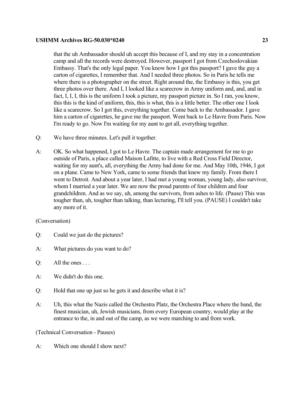that the uh Ambassador should uh accept this because of I, and my stay in a concentration camp and all the records were destroyed. However, passport I got from Czechoslovakian Embassy. That's the only legal paper. You know how I got this passport? I gave the guy a carton of cigarettes, I remember that. And I needed three photos. So in Paris he tells me where there is a photographer on the street. Right around the, the Embassy is this, you get three photos over there. And I, I looked like a scarecrow in Army uniform and, and, and in fact, I, I, I, this is the uniform I took a picture, my passport picture in. So I ran, you know, this this is the kind of uniform, this, this is what, this is a little better. The other one I look like a scarecrow. So I got this, everything together. Come back to the Ambassador. I gave him a carton of cigarettes, he gave me the passport. Went back to Le Havre from Paris. Now I'm ready to go. Now I'm waiting for my aunt to get all, everything together.

- Q: We have three minutes. Let's pull it together.
- A: OK. So what happened, I got to Le Havre. The captain made arrangement for me to go outside of Paris, a place called Maison Lafitte, to live with a Red Cross Field Director, waiting for my aunt's, all, everything the Army had done for me. And May 10th, 1946, I got on a plane. Came to New York, came to some friends that knew my family. From there I went to Detroit. And about a year later, I had met a young woman, young lady, also survivor, whom I married a year later. We are now the proud parents of four children and four grandchildren. And as we say, uh, among the survivors, from ashes to life. (Pause) This was tougher than, uh, tougher than talking, than lecturing, I'll tell you. (PAUSE) I couldn't take any more of it.

## (Conversation)

- Q: Could we just do the pictures?
- A: What pictures do you want to do?
- Q: All the ones . . .
- A: We didn't do this one.
- Q: Hold that one up just so he gets it and describe what it is?
- A: Uh, this what the Nazis called the Orchestra Platz, the Orchestra Place where the band, the finest musician, uh, Jewish musicians, from every European country, would play at the entrance to the, in and out of the camp, as we were marching to and from work.

(Technical Conversation - Pauses)

A: Which one should I show next?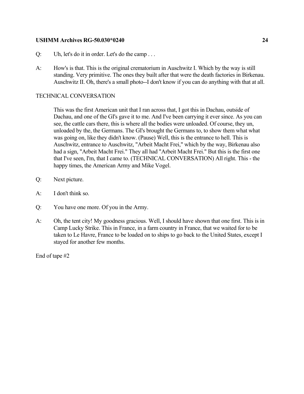- Q: Uh, let's do it in order. Let's do the camp . . .
- A: How's is that. This is the original crematorium in Auschwitz I. Which by the way is still standing. Very primitive. The ones they built after that were the death factories in Birkenau. Auschwitz II. Oh, there's a small photo--I don't know if you can do anything with that at all.

## TECHNICAL CONVERSATION

This was the first American unit that I ran across that, I got this in Dachau, outside of Dachau, and one of the GI's gave it to me. And I've been carrying it ever since. As you can see, the cattle cars there, this is where all the bodies were unloaded. Of course, they un, unloaded by the, the Germans. The GI's brought the Germans to, to show them what what was going on, like they didn't know. (Pause) Well, this is the entrance to hell. This is Auschwitz, entrance to Auschwitz, "Arbeit Macht Frei," which by the way, Birkenau also had a sign, "Arbeit Macht Frei." They all had "Arbeit Macht Frei." But this is the first one that I've seen, I'm, that I came to. (TECHNICAL CONVERSATION) All right. This - the happy times, the American Army and Mike Vogel.

- Q: Next picture.
- A: I don't think so.
- Q: You have one more. Of you in the Army.
- A: Oh, the tent city! My goodness gracious. Well, I should have shown that one first. This is in Camp Lucky Strike. This in France, in a farm country in France, that we waited for to be taken to Le Havre, France to be loaded on to ships to go back to the United States, except I stayed for another few months.

End of tape #2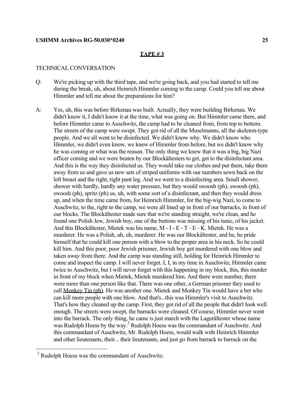#### **TAPE # 3**

## TECHNICAL CONVERSATION

- Q: We're picking up with the third tape, and we're going back, and you had started to tell me during the break, uh, about Heinrich Himmler coming to the camp. Could you tell me about Himmler and tell me about the preparations for him?
- A: Yes, uh, this was before Birkenau was built. Actually, they were building Birkenau. We didn't know it, I didn't know it at the time, what was going on. But Himmler came there, and before Himmler came to Auschwitz, the camp had to be cleaned from, from top to bottom. The streets of the camp were swept. They got rid of all the Muselmanns, all the skeleton-type people. And we all went to be disinfected. We didn't know why. We didn't know who Himmler, we didn't even know, we knew of Himmler from before, but we didn't know why he was coming or what was the reason. The only thing we knew that it was a big, big Nazi officer coming and we were beaten by our Blockältesters to get, get to the disinfectant area. And this is the way they disinfected us. They would take our clothes and put them, take them away from us and gave us new sets of striped uniforms with our numbers sewn back on the left breast and the right, right pant leg. And we went to a disinfecting area. Small shower, shower with hardly, hardly any water pressure, but they would swoosh (ph), swoosh (ph), swoosh (ph), spritz (ph) us, uh, with some sort of a disinfectant, and then they would dress up, and when the time came from, for Heinrich Himmler, for the big-wig Nazi, to come to Auschwitz, to the, right to the camp, we were all lined up in front of our barracks, in front of our blocks. The Blockältester made sure that we're standing straight, we're clean, and he found one Polish Jew, Jewish boy, one of the buttons was missing of his tunic, of his jacket. And this Blockältester, Mietek was his name, M - I - E - T - E - K. Mietek. He was a murderer. He was a Polish, uh, uh, murderer. He was our Blockältester, and he, he pride himself that he could kill one person with a blow to the proper area in his neck. So he could kill him. And this poor, poor Jewish prisoner, Jewish boy got murdered with one blow and taken away from there. And the camp was standing still, holding for Heinrich Himmler to come and inspect the camp. I will never forget. I, I, in my time in Auschwitz, Himmler came twice to Auschwitz, but I will never forget with this happening in my block, this, this murder in front of my block when Mietek, Mietek murdered him. And there were number, there were more than one person like that. There was one other, a German prisoner they used to call Monkey Tin (ph). He was another one. Mietek and Monkey Tin would have a bet who can kill more people with one blow. And that's...this was Himmler's visit to Auschwitz. That's how they cleaned up the camp. First, they got rid of all the people that didn't look well enough. The streets were swept, the barracks were cleaned. Of course, Himmler never went into the barrack. The only thing, he came is just march with the Lagerältester whose name was Rudolph Hoess by the way.<sup>[2](#page-26-0)</sup> Rudolph Hoess was the commandant of Auschwitz. And this commandant of Auschwitz, Mr. Rudolph Hoess, would walk with Heinrich Himmler and other lieutenants, their... their lieutenants, and just go from barrack to barrack on the

i<br>L

<span id="page-26-0"></span> $2^2$  Rudolph Hoess was the commandant of Auschwitz.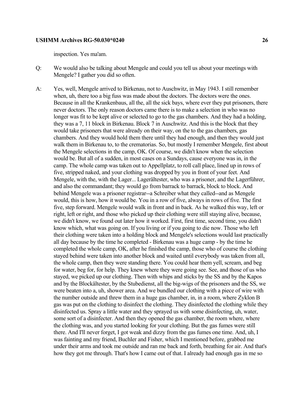inspection. Yes ma'am.

- Q: We would also be talking about Mengele and could you tell us about your meetings with Mengele? I gather you did so often.
- A: Yes, well, Mengele arrived to Birkenau, not to Auschwitz, in May 1943. I still remember when, uh, there too a big fuss was made about the doctors. The doctors were the ones. Because in all the Krankenbaus, all the, all the sick bays, where ever they put prisoners, there never doctors. The only reason doctors came there is to make a selection in who was no longer was fit to be kept alive or selected to go to the gas chambers. And they had a holding, they was a 7, 11 block in Birkenau. Block 7 in Auschwitz. And this is the block that they would take prisoners that were already on their way, on the to the gas chambers, gas chambers. And they would hold them there until they had enough, and then they would just walk them in Birkenau to, to the crematorias. So, but mostly I remember Mengele, first about the Mengele selections in the camp, OK. Of course, we didn't know when the selection would be. But all of a sudden, in most cases on a Sundays, cause everyone was in, in the camp. The whole camp was taken out to Appellplatz, to roll call place, lined up in rows of five, stripped naked, and your clothing was dropped by you in front of your feet. And Mengele, with the, with the Lager... Lagerältester, who was a prisoner, and the Lagerführer, and also the commandant; they would go from barrack to barrack, block to block. And behind Mengele was a prisoner registrar--a Schreiber what they called--and as Mengele would, this is how, how it would be. You in a row of five, always in rows of five. The first five, step forward. Mengele would walk in front and in back. As he walked this way, left or right, left or right, and those who picked up their clothing were still staying alive, because, we didn't know, we found out later how it worked. First, first time, second time, you didn't know which, what was going on. If you living or if you going to die now. Those who left their clothing were taken into a holding block and Mengele's selections would last practically all day because by the time he completed - Birkenau was a huge camp - by the time he completed the whole camp, OK, after he finished the camp, those who of course the clothing stayed behind were taken into another block and waited until everybody was taken from all, the whole camp, then they were standing there. You could hear them yell, scream, and beg for water, beg for, for help. They knew where they were going see. See, and those of us who stayed, we picked up our clothing. Then with whips and sticks by the SS and by the Kapos and by the Blockältester, by the Stubedienst, all the big-wigs of the prisoners and the SS, we were beaten into a, uh, shower area. And we bundled our clothing with a piece of wire with the number outside and threw them in a huge gas chamber, in, in a room, where Zyklon B gas was put on the clothing to disinfect the clothing. They disinfected the clothing while they disinfected us. Spray a little water and they sprayed us with some disinfecting, uh, water, some sort of a disinfecter. And then they opened the gas chamber, the room where, where the clothing was, and you started looking for your clothing. But the gas fumes were still there. And I'll never forget, I got weak and dizzy from the gas fumes one time. And, uh, I was fainting and my friend, Buchler and Fisher, which I mentioned before, grabbed me under their arms and took me outside and ran me back and forth, breathing for air. And that's how they got me through. That's how I came out of that. I already had enough gas in me so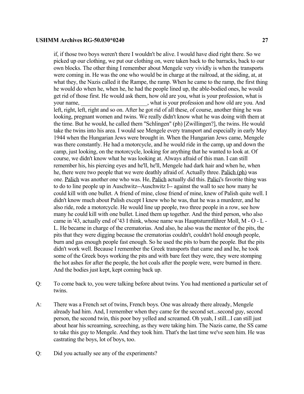if, if those two boys weren't there I wouldn't be alive. I would have died right there. So we picked up our clothing, we put our clothing on, were taken back to the barracks, back to our own blocks. The other thing I remember about Mengele very vividly is when the transports were coming in. He was the one who would be in charge at the railroad, at the siding, at, at what they, the Nazis called it the Rampe, the ramp. When he came to the ramp, the first thing he would do when he, when he, he had the people lined up, the able-bodied ones, he would get rid of those first. He would ask them, how old are you, what is your profession, what is your name, \_\_\_\_\_\_\_\_\_\_\_\_\_\_\_\_\_\_\_\_\_\_, what is your profession and how old are you. And left, right, left, right and so on. After he got rid of all these, of course, another thing he was looking, pregnant women and twins. We really didn't know what he was doing with them at the time. But he would, he called them "Schlingen" (ph) [Zwillingen?], the twins. He would take the twins into his area. I would see Mengele every transport and especially in early May 1944 when the Hungarian Jews were brought in. When the Hungarian Jews came, Mengele was there constantly. He had a motorcycle, and he would ride in the camp, up and down the camp, just looking, on the motorcycle, looking for anything that he wanted to look at. Of course, we didn't know what he was looking at. Always afraid of this man. I can still remember his, his piercing eyes and he'll, he'll, Mengele had dark hair and when he, when he, there were two people that we were deathly afraid of. Actually three. Palich (ph) was one. Palich was another one who was. He, Palich actually did this. Palici's favorite thing was to do to line people up in Auschwitz--Auschwitz I-- against the wall to see how many he could kill with one bullet. A friend of mine, close friend of mine, knew of Palish quite well. I didn't know much about Palish except I knew who he was, that he was a murderer, and he also ride, rode a motorcycle. He would line up people, two three people in a row, see how many he could kill with one bullet. Lined them up together. And the third person, who also came in '43, actually end of '43 I think, whose name was Hauptsturmführer Moll, M - O - L - L. He became in charge of the crematorias. And also, he also was the mentor of the pits, the pits that they were digging because the crematorias couldn't, couldn't hold enough people, burn and gas enough people fast enough. So he used the pits to burn the people. But the pits didn't work well. Because I remember the Greek transports that came and and he, he took some of the Greek boys working the pits and with bare feet they were, they were stomping the hot ashes for after the people, the hot coals after the people were, were burned in there. And the bodies just kept, kept coming back up.

- Q: To come back to, you were talking before about twins. You had mentioned a particular set of twins.
- A: There was a French set of twins, French boys. One was already there already, Mengele already had him. And, I remember when they came for the second set...second guy, second person, the second twin, this poor boy yelled and screamed. Oh yeah, I still...I can still just about hear his screaming, screeching, as they were taking him. The Nazis came, the SS came to take this guy to Mengele. And they took him. That's the last time we've seen him. He was castrating the boys, lot of boys, too.
- Q: Did you actually see any of the experiments?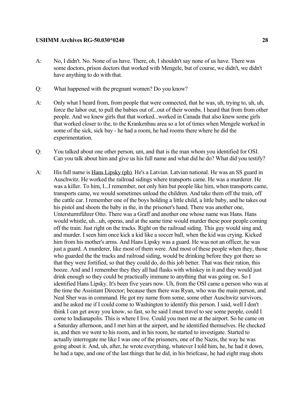- A: No, I didn't. No. None of us have. There, oh, I shouldn't say none of us have. There was some doctors, prison doctors that worked with Mengele, but of course, we didn't, we didn't have anything to do with that.
- Q: What happened with the pregnant women? Do you know?
- A: Only what I heard from, from people that were connected, that he was, uh, trying to, uh, uh, force the labor out, to pull the babies out of...out of their wombs. I heard that from from other people. And we knew girls that that worked...worked in Canada that also knew some girls that worked closer to the, to the Krankenbau area so a lot of times when Mengele worked in some of the sick, sick bay - he had a room, he had rooms there where he did the experimentation.
- Q: You talked about one other person, um, and that is the man whom you identified for OSI. Can you talk about him and give us his full name and what did he do? What did you testify?
- A: His full name is Hans Lipsky (ph). He's a Latvian. Latvian national. He was an SS guard in Auschwitz. He worked the railroad sidings where transports came. He was a murderer. He was a killer. To him, I...I remember, not only him but people like him, when transports came, transports came, we would sometimes unload the children. And take them off the train, off the cattle car. I remember one of the boys holding a little child, a little baby, and he takes out his pistol and shoots the baby in the, in the prisoner's hand. There was another one, Untersturmführer Otto. There was a Graff and another one whose name was Hans. Hans would whistle, uh...uh, operas, and at the same time would murder these poor people coming off the train. Just right on the tracks. Right on the railroad siding. This guy would sing and, and murder. I seen him once kick a kid like a soccer ball, when the kid was crying. Kicked him from his mother's arms. And Hans Lipsky was a guard. He was not an officer, he was just a guard. A murderer, like most of them were. And most of these people when they, those who guarded the the tracks and railroad siding, would be drinking before they got there so that they were fortified, so that they could do, do this job better. That was their ration, this booze. And and I remember they they all had flasks with whiskey in it and they would just drink enough so they could be practically immune to anything that was going on. So I identified Hans Lipsky. It's been five years now. Uh, from the OSI came a person who was at the time the Assistant Director; because then there was Ryan, who was the main person, and Neal Sher was in command. He got my name from some, some other Auschwitz survivors, and he asked me if I could come to Washington to identify this person. I said, well I don't think I can get away you know, so fast, so he said I must travel to see some people, could I come to Indianapolis. This is where I live. Could you meet me at the airport. So he came on a Saturday afternoon, and I met him at the airport, and he identified themselves. He checked in, and then we went to his room, and in his room, he started to investigate. Started to actually interrogate me like I was one of the prisoners, one of the Nazis, the way he was going about it. And, uh, after, he wrote everything, whatever I told him, he, he had it down, he had a tape, and one of the last things that he did, in his briefcase, he had eight mug shots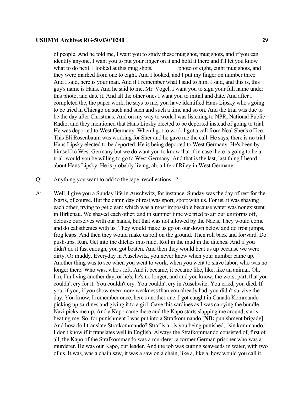of people. And he told me, I want you to study these mug shot, mug shots, and if you can identify anyone, I want you to put your finger on it and hold it there and I'll let you know what to do next. I looked at this mug shots, help photo of eight, eight mug shots, and they were marked from one to eight. And I looked, and I put my finger on number three. And I said, here is your man. And if I remember what I said to him, I said, and this is, this guy's name is Hans. And he said to me, Mr. Vogel, I want you to sign your full name under this photo, and date it. And all the other ones I want you to initial and date. And after I completed the, the paper work, he says to me, you have identified Hans Lipsky who's going to be tried in Chicago on such and such and such a time and so on. And the trial was due to be the day after Christmas. And on my way to work I was listening to NPR, National Public Radio, and they mentioned that Hans Lipsky elected to be deported instead of going to trial. He was deported to West Germany. When I got to work I got a call from Neal Sher's office. This Eli Rosenbaum was working for Sher and he gave me the call. He says, there is no trial. Hans Lipsky elected to be deported. He is being deported to West Germany. He's been by himself to West Germany but we do want you to know that if in case there is going to be a trial, would you be willing to go to West Germany. And that is the last, last thing I heard about Hans Lipsky. He is probably living, ah, a life of Riley in West Germany.

- Q: Anything you want to add to the tape, recollections...?
- A: Well, I give you a Sunday life in Auschwitz, for instance. Sunday was the day of rest for the Nazis, of course. But the damn day of rest was sport, sport with us. For us, it was shaving each other, trying to get clean; which was almost impossible because water was nonexistent in Birkenau. We shaved each other; and in summer time we tried to air our uniforms off, delouse ourselves with our hands, but that was not allowed by the Nazis. They would come and do calisthenics with us. They would make us go on our down below and do frog jumps, frog leaps. And then they would make us roll on the ground. Then roll back and forward. Do push-ups. Run. Get into the ditches into mud. Roll in the mud in the ditches. And if you didn't do it fast enough, you got beaten. And then they would beat us up because we were dirty. Or muddy. Everyday in Auschwitz, you never knew when your number came up. Another thing was to see when you went to work, when you went to slave labor, who was no longer there. Who was, who's left. And it became, it became like, like, like an animal. Oh, I'm, I'm living another day, or he's, he's no longer, and and you know, the worst part, that you couldn't cry for it. You couldn't cry. You couldn't cry in Auschwitz. You cried, you died. If you, if you, if you show even more weakness than you already had, you didn't survive the day. You know, I remember once, here's another one. I got caught in Canada Kommando picking up sardines and giving it to a girl. Gave this sardines as I was carrying the bundle, Nazi picks me up. And a Kapo came there and the Kapo starts slapping me around, starts beating me. So, for punishment I was put into a Strafkommando [**NB:** punishment brigade]. And how do I translate Strafkommando? Straf is a...is you being punished, "sin kommando." I don't know if it translates well in English. Always the Strafkommando consisted of, first of all, the Kapo of the Strafkommando was a murderer, a former German prisoner who was a murderer. He was our Kapo, our leader. And the job was cutting seaweeds in water, with two of us. It was, was a chain saw, it was a saw on a chain, like a, like a, how would you call it,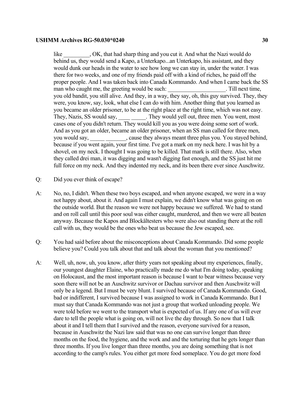like GK, that had sharp thing and you cut it. And what the Nazi would do behind us, they would send a Kapo, a Unterkapo...an Unterkapo, his assistant, and they would dunk our heads in the water to see how long we can stay in, under the water. I was there for two weeks, and one of my friends paid off with a kind of riches, he paid off the proper people. And I was taken back into Canada Kommando. And when I came back the SS man who caught me, the greeting would be such: Till next time, you old bandit, you still alive. And they, in a way, they say, oh, this guy survived. They, they were, you know, say, look, what else I can do with him. Another thing that you learned as you became an older prisoner, to be at the right place at the right time, which was not easy. They, Nazis, SS would say, \_\_\_\_\_\_\_\_\_. They would yell out, three men. You went, most cases one of you didn't return. They would kill you as you were doing some sort of work. And as you got an older, became an older prisoner, when an SS man called for three men, you would say, \_\_\_\_\_\_\_\_\_\_\_\_\_, cause they always meant three plus you. You stayed behind, because if you went again, your first time. I've got a mark on my neck here. I was hit by a shovel, on my neck. I thought I was going to be killed. That mark is still there. Also, when they called drei man, it was digging and wasn't digging fast enough, and the SS just hit me full force on my neck. And they indented my neck, and its been there ever since Auschwitz.

- Q: Did you ever think of escape?
- A: No, no, I didn't. When these two boys escaped, and when anyone escaped, we were in a way not happy about, about it. And again I must explain, we didn't know what was going on on the outside world. But the reason we were not happy because we suffered. We had to stand and on roll call until this poor soul was either caught, murdered, and then we were all beaten anyway. Because the Kapos and Blockältesters who were also out standing there at the roll call with us, they would be the ones who beat us because the Jew escaped, see.
- Q: You had said before about the misconceptions about Canada Kommando. Did some people believe you? Could you talk about that and talk about the woman that you mentioned?
- A: Well, uh, now, uh, you know, after thirty years not speaking about my experiences, finally, our youngest daughter Elaine, who practically made me do what I'm doing today, speaking on Holocaust, and the most important reason is because I want to bear witness because very soon there will not be an Auschwitz survivor or Dachau survivor and then Auschwitz will only be a legend. But I must be very blunt. I survived because of Canada Kommando. Good, bad or indifferent, I survived because I was assigned to work in Canada Kommando. But I must say that Canada Kommando was not just a group that worked unloading people. We were told before we went to the transport what is expected of us. If any one of us will ever dare to tell the people what is going on, will not live the day through. So now that I talk about it and I tell them that I survived and the reason, everyone survived for a reason, because in Auschwitz the Nazi law said that was no one can survive longer than three months on the food, the hygiene, and the work and and the torturing that he gets longer than three months. If you live longer than three months, you are doing something that is not according to the camp's rules. You either get more food someplace. You do get more food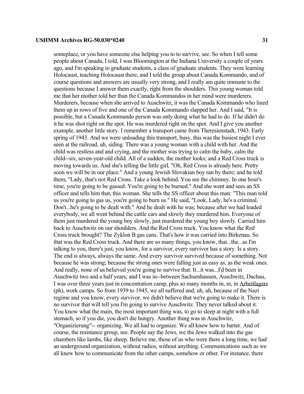someplace, or you have someone else helping you to to survive, see. So when I tell some people about Canada, I told, I was Bloomington at the Indiana University a couple of years ago, and I'm speaking to graduate students, a class of graduate students. They were learning Holocaust, teaching Holocaust there, and I told the group about Canada Kommando, and of course questions and answers are usually very strong, and I really am quite immune to the questions because I answer them exactly, right from the shoulders. This young woman told me that her mother told her than the Canada Kommandos in her mind were murderers. Murderers, because when she arrived to Auschwitz, it was the Canada Kommando who lined them up in rows of five and one of the Canada Kommando slapped her. And I said, "It is possible, but a Canada Kommando person was only doing what he had to do. If he didn't do it he was shot right on the spot. He was murdered right on the spot. And I give you another example, another little story. I remember a transport came from Theresienstadt, 1943. Early spring of 1943. And we were unloading this transport, busy, this was the busiest night I ever seen at the railroad, uh, siding. There was a young woman with a child with her. And the child was restless and and crying, and the mother was trying to calm the baby, calm the child--six, seven-year-old child. All of a sudden, the mother looks; and a Red Cross truck is moving towards us. And she's telling the little girl, "Oh, Red Cross is already here. Pretty soon we will be in our place." And a young Jewish Slovakian boy ran by there; and he told them, "Lady, that's not Red Cross. Take a look behind. You see the chimney. In one hour's time, you're going to be gassed. You're going to be burned." And she went and sees an SS officer and tells him that, this woman. She tells the SS officer about this man: "This man told us you're going to gas us, you're going to burn us." He said, "Look, Lady, he's a criminal. Don't...he's going to be dealt with." And he dealt with he was; because after we had loaded everybody, we all went behind the cattle cars and slowly they murdered him. Everyone of them just murdered the young boy slowly, just murdered the young boy slowly. Carried him back to Auschwitz on our shoulders. And the Red Cross truck. You know what the Red Cross truck brought? The Zyklon B gas cans. That's how it was carried into Birkenau. So that was the Red Cross truck. And there are so many things, you know, that...the...as I'm talking to you, there's just, you know, for a survivor, every survivor has a story. Is a story. The end is always, always the same. And every survivor survived because of something. Not because he was strong; because the strong ones were falling just as easy as, as the weak ones. And really, none of us believed you're going to survive that. It...it was...I'd been in Auschwitz two and a half years; and I was in--between Sachsenhausen, Auschwitz, Dachau, I was over three years just in concentration camp, plus so many months in, in, in Arbeitlagers (ph), work camps. So from 1939 to 1945, we all suffered and, uh, uh, because of the Nazi regime and you know, every survivor, we didn't believe that we're going to make it. There is no survivor that will tell you I'm going to survive Auschwitz. They never talked about it. You know what the main, the most important thing was, to go to sleep at night with a full stomach, so if you die, you don't die hungry. Another thing was in Auschwitz, "Organizierung"-- organizing. We all had to organize. We all knew how to barter. And of course, the resistance group, see. People say the Jews, we the Jews walked into the gas chambers like lambs, like sheep. Believe me, those of us who were there a long time, we had an underground organization, without radios, without anything. Communications such as we all knew how to communicate from the other camps, somehow or other. For instance, there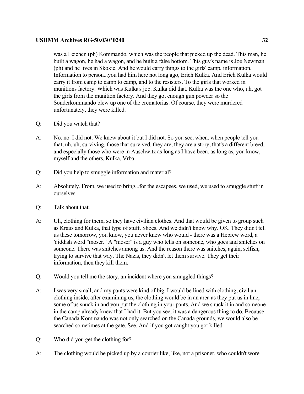was a Leichen (ph) Kommando, which was the people that picked up the dead. This man, he built a wagon, he had a wagon, and he built a false bottom. This guy's name is Joe Newman (ph) and he lives in Skokie. And he would carry things to the girls' camp, information. Information to person...you had him here not long ago, Erich Kulka. And Erich Kulka would carry it from camp to camp to camp, and to the resisters. To the girls that worked in munitions factory. Which was Kulka's job. Kulka did that. Kulka was the one who, uh, got the girls from the munition factory. And they got enough gun powder so the Sonderkommando blew up one of the crematorias. Of course, they were murdered unfortunately, they were killed.

- Q: Did you watch that?
- A: No, no. I did not. We knew about it but I did not. So you see, when, when people tell you that, uh, uh, surviving, those that survived, they are, they are a story, that's a different breed, and especially those who were in Auschwitz as long as I have been, as long as, you know, myself and the others, Kulka, Vrba.
- Q: Did you help to smuggle information and material?
- A: Absolutely. From, we used to bring...for the escapees, we used, we used to smuggle stuff in ourselves.
- Q: Talk about that.
- A: Uh, clothing for them, so they have civilian clothes. And that would be given to group such as Kraus and Kulka, that type of stuff. Shoes. And we didn't know why. OK. They didn't tell us these tomorrow, you know, you never knew who would - there was a Hebrew word, a Yiddish word "moser." A "moser" is a guy who tells on someone, who goes and snitches on someone. There was snitches among us. And the reason there was snitches, again, selfish, trying to survive that way. The Nazis, they didn't let them survive. They get their information, then they kill them.
- Q: Would you tell me the story, an incident where you smuggled things?
- A: I was very small, and my pants were kind of big. I would be lined with clothing, civilian clothing inside, after examining us, the clothing would be in an area as they put us in line, some of us snuck in and you put the clothing in your pants. And we snuck it in and someone in the camp already knew that I had it. But you see, it was a dangerous thing to do. Because the Canada Kommando was not only searched on the Canada grounds, we would also be searched sometimes at the gate. See. And if you got caught you got killed.
- Q: Who did you get the clothing for?
- A: The clothing would be picked up by a courier like, like, not a prisoner, who couldn't wore